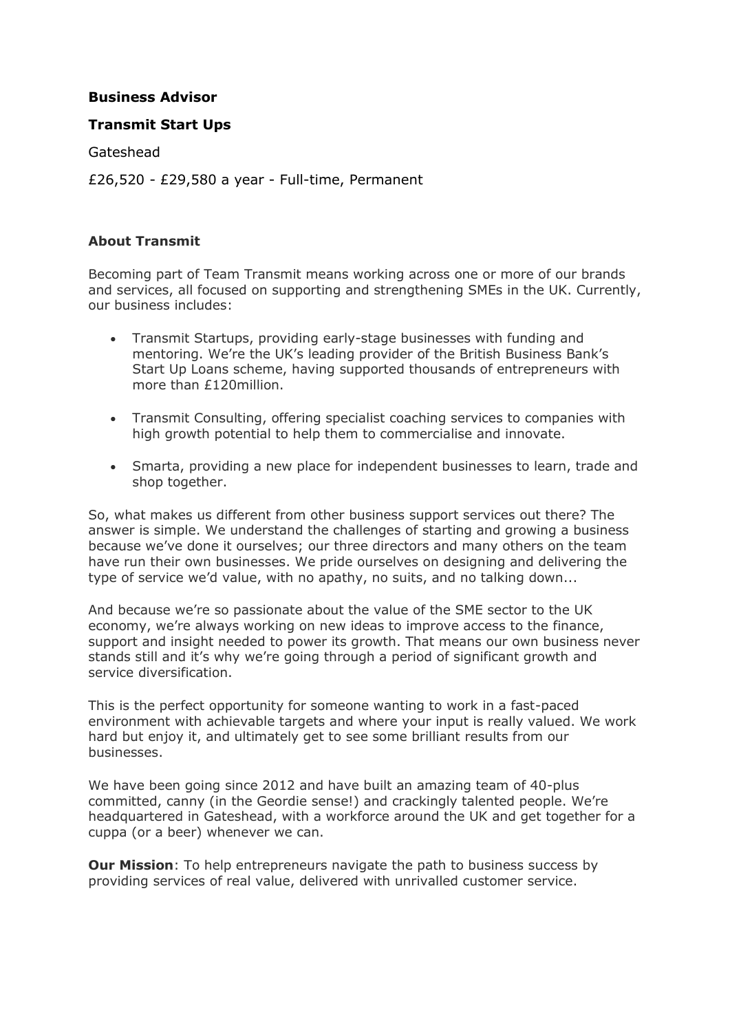# **Business Advisor**

#### **Transmit Start Ups**

Gateshead

£26,520 - £29,580 a year - Full-time, Permanent

#### **About Transmit**

Becoming part of Team Transmit means working across one or more of our brands and services, all focused on supporting and strengthening SMEs in the UK. Currently, our business includes:

- Transmit Startups, providing early-stage businesses with funding and mentoring. We're the UK's leading provider of the British Business Bank's Start Up Loans scheme, having supported thousands of entrepreneurs with more than £120million.
- Transmit Consulting, offering specialist coaching services to companies with high growth potential to help them to commercialise and innovate.
- Smarta, providing a new place for independent businesses to learn, trade and shop together.

So, what makes us different from other business support services out there? The answer is simple. We understand the challenges of starting and growing a business because we've done it ourselves; our three directors and many others on the team have run their own businesses. We pride ourselves on designing and delivering the type of service we'd value, with no apathy, no suits, and no talking down...

And because we're so passionate about the value of the SME sector to the UK economy, we're always working on new ideas to improve access to the finance, support and insight needed to power its growth. That means our own business never stands still and it's why we're going through a period of significant growth and service diversification.

This is the perfect opportunity for someone wanting to work in a fast-paced environment with achievable targets and where your input is really valued. We work hard but enjoy it, and ultimately get to see some brilliant results from our businesses.

We have been going since 2012 and have built an amazing team of 40-plus committed, canny (in the Geordie sense!) and crackingly talented people. We're headquartered in Gateshead, with a workforce around the UK and get together for a cuppa (or a beer) whenever we can.

**Our Mission**: To help entrepreneurs navigate the path to business success by providing services of real value, delivered with unrivalled customer service.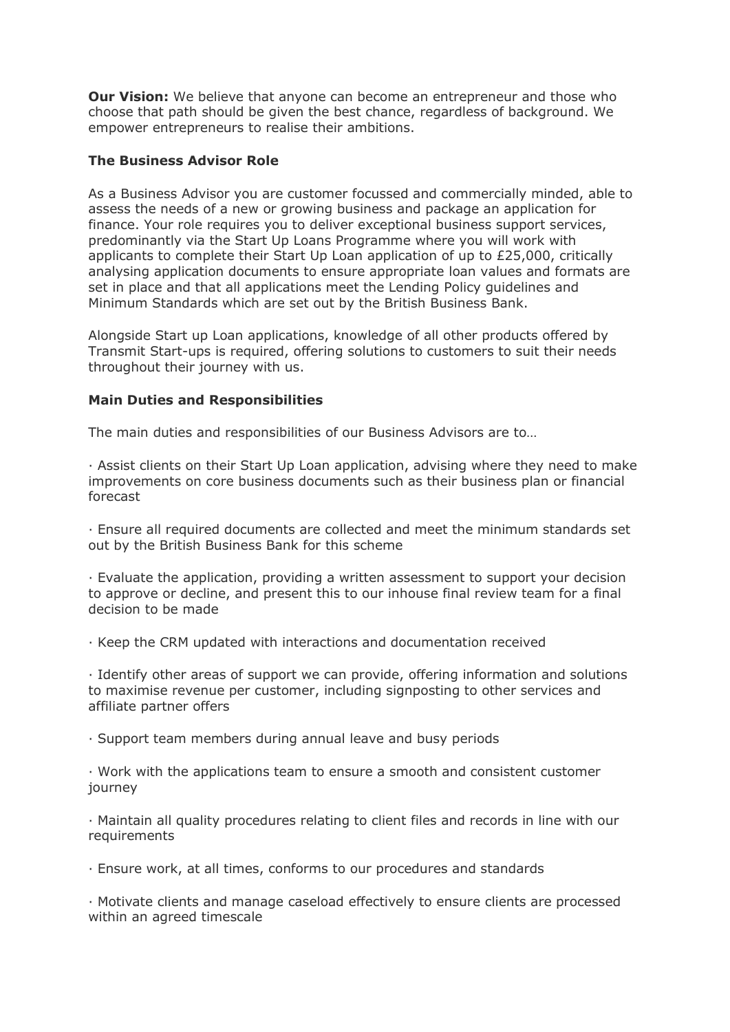**Our Vision:** We believe that anyone can become an entrepreneur and those who choose that path should be given the best chance, regardless of background. We empower entrepreneurs to realise their ambitions.

#### **The Business Advisor Role**

As a Business Advisor you are customer focussed and commercially minded, able to assess the needs of a new or growing business and package an application for finance. Your role requires you to deliver exceptional business support services, predominantly via the Start Up Loans Programme where you will work with applicants to complete their Start Up Loan application of up to £25,000, critically analysing application documents to ensure appropriate loan values and formats are set in place and that all applications meet the Lending Policy guidelines and Minimum Standards which are set out by the British Business Bank.

Alongside Start up Loan applications, knowledge of all other products offered by Transmit Start-ups is required, offering solutions to customers to suit their needs throughout their journey with us.

## **Main Duties and Responsibilities**

The main duties and responsibilities of our Business Advisors are to…

· Assist clients on their Start Up Loan application, advising where they need to make improvements on core business documents such as their business plan or financial forecast

· Ensure all required documents are collected and meet the minimum standards set out by the British Business Bank for this scheme

· Evaluate the application, providing a written assessment to support your decision to approve or decline, and present this to our inhouse final review team for a final decision to be made

· Keep the CRM updated with interactions and documentation received

· Identify other areas of support we can provide, offering information and solutions to maximise revenue per customer, including signposting to other services and affiliate partner offers

· Support team members during annual leave and busy periods

· Work with the applications team to ensure a smooth and consistent customer journey

· Maintain all quality procedures relating to client files and records in line with our requirements

· Ensure work, at all times, conforms to our procedures and standards

· Motivate clients and manage caseload effectively to ensure clients are processed within an agreed timescale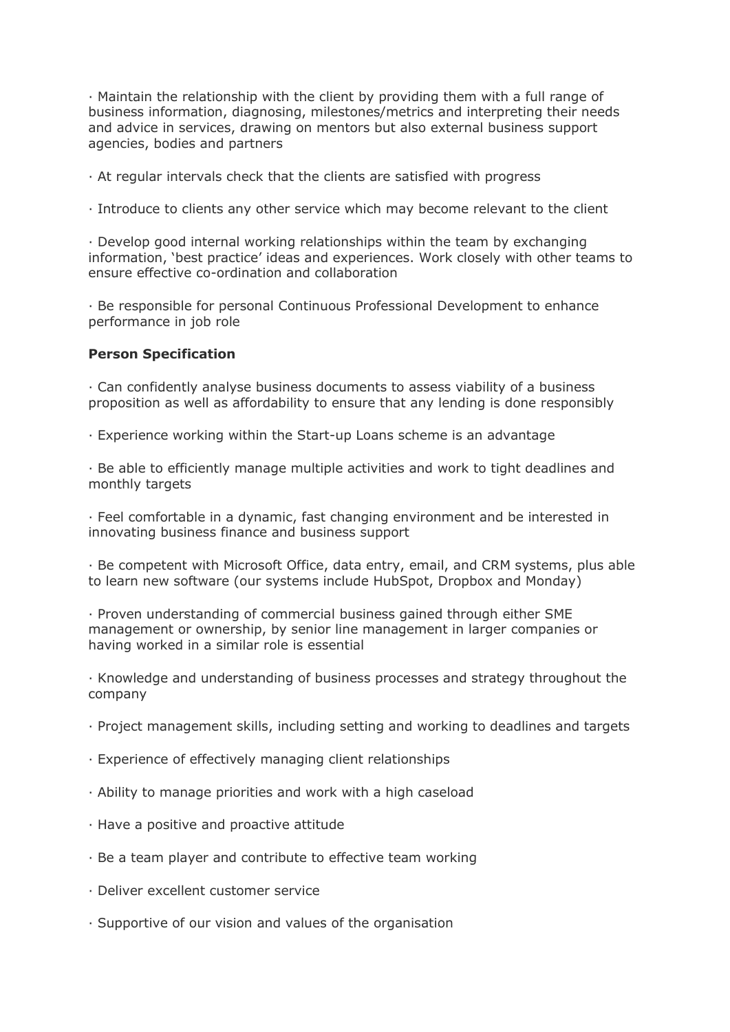· Maintain the relationship with the client by providing them with a full range of business information, diagnosing, milestones/metrics and interpreting their needs and advice in services, drawing on mentors but also external business support agencies, bodies and partners

· At regular intervals check that the clients are satisfied with progress

· Introduce to clients any other service which may become relevant to the client

· Develop good internal working relationships within the team by exchanging information, 'best practice' ideas and experiences. Work closely with other teams to ensure effective co-ordination and collaboration

· Be responsible for personal Continuous Professional Development to enhance performance in job role

#### **Person Specification**

· Can confidently analyse business documents to assess viability of a business proposition as well as affordability to ensure that any lending is done responsibly

· Experience working within the Start-up Loans scheme is an advantage

· Be able to efficiently manage multiple activities and work to tight deadlines and monthly targets

· Feel comfortable in a dynamic, fast changing environment and be interested in innovating business finance and business support

· Be competent with Microsoft Office, data entry, email, and CRM systems, plus able to learn new software (our systems include HubSpot, Dropbox and Monday)

· Proven understanding of commercial business gained through either SME management or ownership, by senior line management in larger companies or having worked in a similar role is essential

· Knowledge and understanding of business processes and strategy throughout the company

- · Project management skills, including setting and working to deadlines and targets
- · Experience of effectively managing client relationships
- · Ability to manage priorities and work with a high caseload
- · Have a positive and proactive attitude
- · Be a team player and contribute to effective team working
- · Deliver excellent customer service
- · Supportive of our vision and values of the organisation